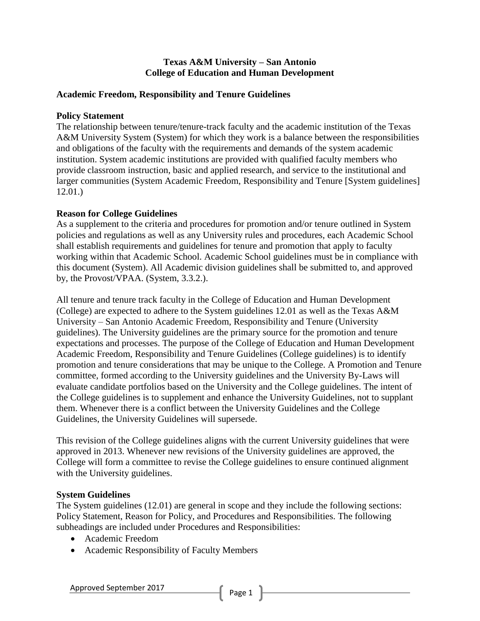## **Texas A&M University – San Antonio College of Education and Human Development**

## **Academic Freedom, Responsibility and Tenure Guidelines**

## **Policy Statement**

The relationship between tenure/tenure-track faculty and the academic institution of the Texas A&M University System (System) for which they work is a balance between the responsibilities and obligations of the faculty with the requirements and demands of the system academic institution. System academic institutions are provided with qualified faculty members who provide classroom instruction, basic and applied research, and service to the institutional and larger communities (System Academic Freedom, Responsibility and Tenure [System guidelines] 12.01.)

## **Reason for College Guidelines**

As a supplement to the criteria and procedures for promotion and/or tenure outlined in System policies and regulations as well as any University rules and procedures, each Academic School shall establish requirements and guidelines for tenure and promotion that apply to faculty working within that Academic School. Academic School guidelines must be in compliance with this document (System). All Academic division guidelines shall be submitted to, and approved by, the Provost/VPAA. (System, 3.3.2.).

All tenure and tenure track faculty in the College of Education and Human Development (College) are expected to adhere to the System guidelines 12.01 as well as the Texas A&M University – San Antonio Academic Freedom, Responsibility and Tenure (University guidelines). The University guidelines are the primary source for the promotion and tenure expectations and processes. The purpose of the College of Education and Human Development Academic Freedom, Responsibility and Tenure Guidelines (College guidelines) is to identify promotion and tenure considerations that may be unique to the College. A Promotion and Tenure committee, formed according to the University guidelines and the University By-Laws will evaluate candidate portfolios based on the University and the College guidelines. The intent of the College guidelines is to supplement and enhance the University Guidelines, not to supplant them. Whenever there is a conflict between the University Guidelines and the College Guidelines, the University Guidelines will supersede.

This revision of the College guidelines aligns with the current University guidelines that were approved in 2013. Whenever new revisions of the University guidelines are approved, the College will form a committee to revise the College guidelines to ensure continued alignment with the University guidelines.

## **System Guidelines**

The System guidelines (12.01) are general in scope and they include the following sections: Policy Statement, Reason for Policy, and Procedures and Responsibilities. The following subheadings are included under Procedures and Responsibilities:

- Academic Freedom
- Academic Responsibility of Faculty Members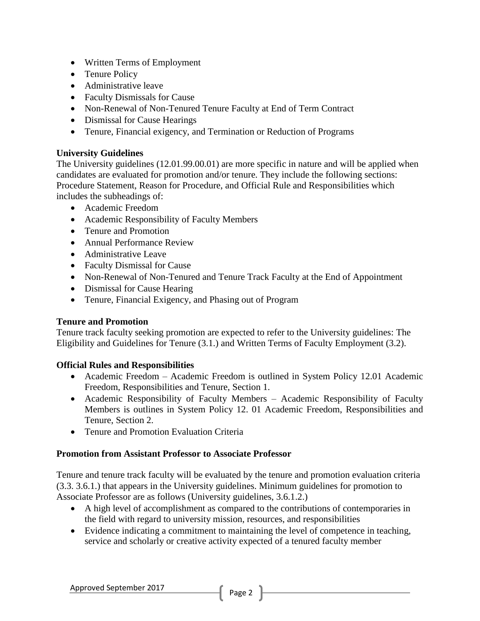- Written Terms of Employment
- Tenure Policy
- Administrative leave
- Faculty Dismissals for Cause
- Non-Renewal of Non-Tenured Tenure Faculty at End of Term Contract
- Dismissal for Cause Hearings
- Tenure, Financial exigency, and Termination or Reduction of Programs

# **University Guidelines**

The University guidelines (12.01.99.00.01) are more specific in nature and will be applied when candidates are evaluated for promotion and/or tenure. They include the following sections: Procedure Statement, Reason for Procedure, and Official Rule and Responsibilities which includes the subheadings of:

- Academic Freedom
- Academic Responsibility of Faculty Members
- Tenure and Promotion
- Annual Performance Review
- Administrative Leave
- Faculty Dismissal for Cause
- Non-Renewal of Non-Tenured and Tenure Track Faculty at the End of Appointment
- Dismissal for Cause Hearing
- Tenure, Financial Exigency, and Phasing out of Program

# **Tenure and Promotion**

Tenure track faculty seeking promotion are expected to refer to the University guidelines: The Eligibility and Guidelines for Tenure (3.1.) and Written Terms of Faculty Employment (3.2).

# **Official Rules and Responsibilities**

- Academic Freedom Academic Freedom is outlined in System Policy 12.01 Academic Freedom, Responsibilities and Tenure, Section 1.
- Academic Responsibility of Faculty Members Academic Responsibility of Faculty Members is outlines in System Policy 12. 01 Academic Freedom, Responsibilities and Tenure, Section 2.
- Tenure and Promotion Evaluation Criteria

# **Promotion from Assistant Professor to Associate Professor**

Tenure and tenure track faculty will be evaluated by the tenure and promotion evaluation criteria (3.3. 3.6.1.) that appears in the University guidelines. Minimum guidelines for promotion to Associate Professor are as follows (University guidelines, 3.6.1.2.)

- A high level of accomplishment as compared to the contributions of contemporaries in the field with regard to university mission, resources, and responsibilities
- Evidence indicating a commitment to maintaining the level of competence in teaching, service and scholarly or creative activity expected of a tenured faculty member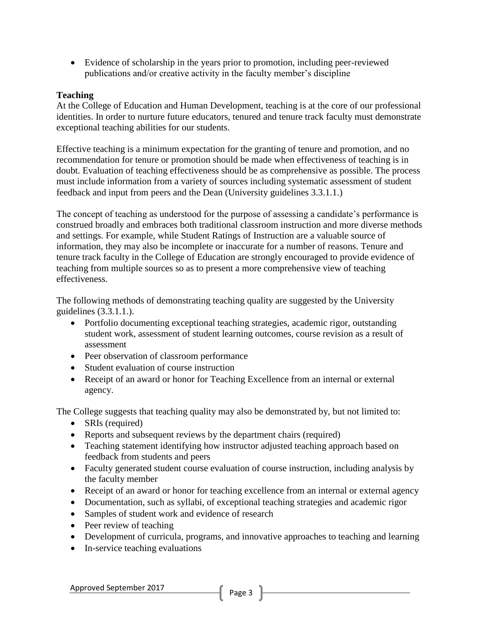Evidence of scholarship in the years prior to promotion, including peer-reviewed publications and/or creative activity in the faculty member's discipline

# **Teaching**

At the College of Education and Human Development, teaching is at the core of our professional identities. In order to nurture future educators, tenured and tenure track faculty must demonstrate exceptional teaching abilities for our students.

Effective teaching is a minimum expectation for the granting of tenure and promotion, and no recommendation for tenure or promotion should be made when effectiveness of teaching is in doubt. Evaluation of teaching effectiveness should be as comprehensive as possible. The process must include information from a variety of sources including systematic assessment of student feedback and input from peers and the Dean (University guidelines 3.3.1.1.)

The concept of teaching as understood for the purpose of assessing a candidate's performance is construed broadly and embraces both traditional classroom instruction and more diverse methods and settings. For example, while Student Ratings of Instruction are a valuable source of information, they may also be incomplete or inaccurate for a number of reasons. Tenure and tenure track faculty in the College of Education are strongly encouraged to provide evidence of teaching from multiple sources so as to present a more comprehensive view of teaching effectiveness.

The following methods of demonstrating teaching quality are suggested by the University guidelines (3.3.1.1.).

- Portfolio documenting exceptional teaching strategies, academic rigor, outstanding student work, assessment of student learning outcomes, course revision as a result of assessment
- Peer observation of classroom performance
- Student evaluation of course instruction
- Receipt of an award or honor for Teaching Excellence from an internal or external agency.

The College suggests that teaching quality may also be demonstrated by, but not limited to:

- SRIs (required)
- Reports and subsequent reviews by the department chairs (required)
- Teaching statement identifying how instructor adjusted teaching approach based on feedback from students and peers
- Faculty generated student course evaluation of course instruction, including analysis by the faculty member
- Receipt of an award or honor for teaching excellence from an internal or external agency
- Documentation, such as syllabi, of exceptional teaching strategies and academic rigor
- Samples of student work and evidence of research
- Peer review of teaching
- Development of curricula, programs, and innovative approaches to teaching and learning
- In-service teaching evaluations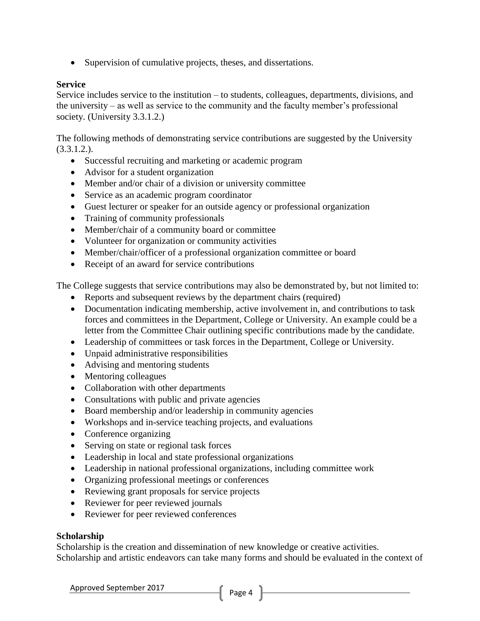• Supervision of cumulative projects, theses, and dissertations.

# **Service**

Service includes service to the institution – to students, colleagues, departments, divisions, and the university – as well as service to the community and the faculty member's professional society. (University 3.3.1.2.)

The following methods of demonstrating service contributions are suggested by the University (3.3.1.2.).

- Successful recruiting and marketing or academic program
- Advisor for a student organization
- Member and/or chair of a division or university committee
- Service as an academic program coordinator
- Guest lecturer or speaker for an outside agency or professional organization
- Training of community professionals
- Member/chair of a community board or committee
- Volunteer for organization or community activities
- Member/chair/officer of a professional organization committee or board
- Receipt of an award for service contributions

The College suggests that service contributions may also be demonstrated by, but not limited to:

- Reports and subsequent reviews by the department chairs (required)
- Documentation indicating membership, active involvement in, and contributions to task forces and committees in the Department, College or University. An example could be a letter from the Committee Chair outlining specific contributions made by the candidate.
- Leadership of committees or task forces in the Department, College or University.
- Unpaid administrative responsibilities
- Advising and mentoring students
- Mentoring colleagues
- Collaboration with other departments
- Consultations with public and private agencies
- Board membership and/or leadership in community agencies
- Workshops and in-service teaching projects, and evaluations
- Conference organizing
- Serving on state or regional task forces
- Leadership in local and state professional organizations
- Leadership in national professional organizations, including committee work
- Organizing professional meetings or conferences
- Reviewing grant proposals for service projects
- Reviewer for peer reviewed journals
- Reviewer for peer reviewed conferences

# **Scholarship**

Scholarship is the creation and dissemination of new knowledge or creative activities. Scholarship and artistic endeavors can take many forms and should be evaluated in the context of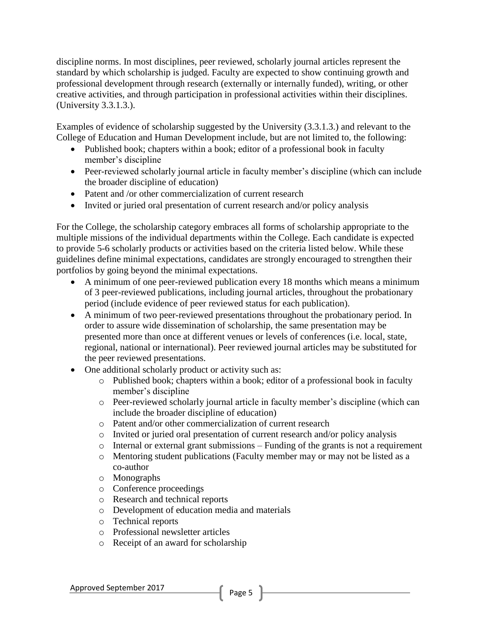discipline norms. In most disciplines, peer reviewed, scholarly journal articles represent the standard by which scholarship is judged. Faculty are expected to show continuing growth and professional development through research (externally or internally funded), writing, or other creative activities, and through participation in professional activities within their disciplines. (University 3.3.1.3.).

Examples of evidence of scholarship suggested by the University (3.3.1.3.) and relevant to the College of Education and Human Development include, but are not limited to, the following:

- Published book; chapters within a book; editor of a professional book in faculty member's discipline
- Peer-reviewed scholarly journal article in faculty member's discipline (which can include the broader discipline of education)
- Patent and /or other commercialization of current research
- Invited or juried oral presentation of current research and/or policy analysis

For the College, the scholarship category embraces all forms of scholarship appropriate to the multiple missions of the individual departments within the College. Each candidate is expected to provide 5-6 scholarly products or activities based on the criteria listed below. While these guidelines define minimal expectations, candidates are strongly encouraged to strengthen their portfolios by going beyond the minimal expectations.

- A minimum of one peer-reviewed publication every 18 months which means a minimum of 3 peer-reviewed publications, including journal articles, throughout the probationary period (include evidence of peer reviewed status for each publication).
- A minimum of two peer-reviewed presentations throughout the probationary period. In order to assure wide dissemination of scholarship, the same presentation may be presented more than once at different venues or levels of conferences (i.e. local, state, regional, national or international). Peer reviewed journal articles may be substituted for the peer reviewed presentations.
- One additional scholarly product or activity such as:
	- o Published book; chapters within a book; editor of a professional book in faculty member's discipline
	- o Peer-reviewed scholarly journal article in faculty member's discipline (which can include the broader discipline of education)
	- o Patent and/or other commercialization of current research
	- o Invited or juried oral presentation of current research and/or policy analysis
	- o Internal or external grant submissions Funding of the grants is not a requirement
	- o Mentoring student publications (Faculty member may or may not be listed as a co-author
	- o Monographs
	- o Conference proceedings
	- o Research and technical reports
	- o Development of education media and materials
	- o Technical reports
	- o Professional newsletter articles
	- o Receipt of an award for scholarship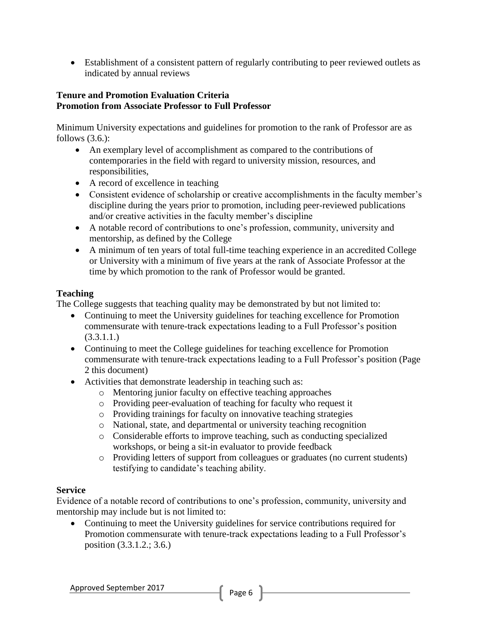Establishment of a consistent pattern of regularly contributing to peer reviewed outlets as indicated by annual reviews

## **Tenure and Promotion Evaluation Criteria Promotion from Associate Professor to Full Professor**

Minimum University expectations and guidelines for promotion to the rank of Professor are as follows  $(3.6.)$ :

- An exemplary level of accomplishment as compared to the contributions of contemporaries in the field with regard to university mission, resources, and responsibilities,
- A record of excellence in teaching
- Consistent evidence of scholarship or creative accomplishments in the faculty member's discipline during the years prior to promotion, including peer-reviewed publications and/or creative activities in the faculty member's discipline
- A notable record of contributions to one's profession, community, university and mentorship, as defined by the College
- A minimum of ten years of total full-time teaching experience in an accredited College or University with a minimum of five years at the rank of Associate Professor at the time by which promotion to the rank of Professor would be granted.

# **Teaching**

The College suggests that teaching quality may be demonstrated by but not limited to:

- Continuing to meet the University guidelines for teaching excellence for Promotion commensurate with tenure-track expectations leading to a Full Professor's position  $(3.3.1.1.)$
- Continuing to meet the College guidelines for teaching excellence for Promotion commensurate with tenure-track expectations leading to a Full Professor's position (Page 2 this document)
- Activities that demonstrate leadership in teaching such as:
	- o Mentoring junior faculty on effective teaching approaches
	- o Providing peer-evaluation of teaching for faculty who request it
	- o Providing trainings for faculty on innovative teaching strategies
	- o National, state, and departmental or university teaching recognition
	- o Considerable efforts to improve teaching, such as conducting specialized workshops, or being a sit-in evaluator to provide feedback
	- o Providing letters of support from colleagues or graduates (no current students) testifying to candidate's teaching ability.

# **Service**

Evidence of a notable record of contributions to one's profession, community, university and mentorship may include but is not limited to:

 Continuing to meet the University guidelines for service contributions required for Promotion commensurate with tenure-track expectations leading to a Full Professor's position (3.3.1.2.; 3.6.)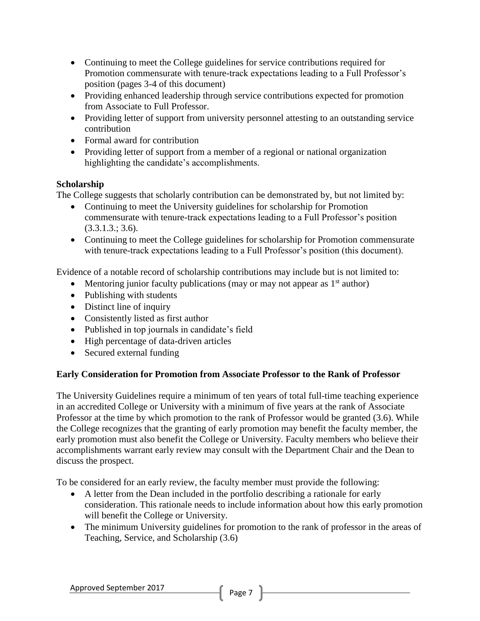- Continuing to meet the College guidelines for service contributions required for Promotion commensurate with tenure-track expectations leading to a Full Professor's position (pages 3-4 of this document)
- Providing enhanced leadership through service contributions expected for promotion from Associate to Full Professor.
- Providing letter of support from university personnel attesting to an outstanding service contribution
- Formal award for contribution
- Providing letter of support from a member of a regional or national organization highlighting the candidate's accomplishments.

# **Scholarship**

The College suggests that scholarly contribution can be demonstrated by, but not limited by:

- Continuing to meet the University guidelines for scholarship for Promotion commensurate with tenure-track expectations leading to a Full Professor's position  $(3.3.1.3.: 3.6).$
- Continuing to meet the College guidelines for scholarship for Promotion commensurate with tenure-track expectations leading to a Full Professor's position (this document).

Evidence of a notable record of scholarship contributions may include but is not limited to:

- Mentoring junior faculty publications (may or may not appear as  $1<sup>st</sup>$  author)
- Publishing with students
- Distinct line of inquiry
- Consistently listed as first author
- Published in top journals in candidate's field
- High percentage of data-driven articles
- Secured external funding

# **Early Consideration for Promotion from Associate Professor to the Rank of Professor**

The University Guidelines require a minimum of ten years of total full-time teaching experience in an accredited College or University with a minimum of five years at the rank of Associate Professor at the time by which promotion to the rank of Professor would be granted (3.6). While the College recognizes that the granting of early promotion may benefit the faculty member, the early promotion must also benefit the College or University. Faculty members who believe their accomplishments warrant early review may consult with the Department Chair and the Dean to discuss the prospect.

To be considered for an early review, the faculty member must provide the following:

- A letter from the Dean included in the portfolio describing a rationale for early consideration. This rationale needs to include information about how this early promotion will benefit the College or University.
- The minimum University guidelines for promotion to the rank of professor in the areas of Teaching, Service, and Scholarship (3.6)